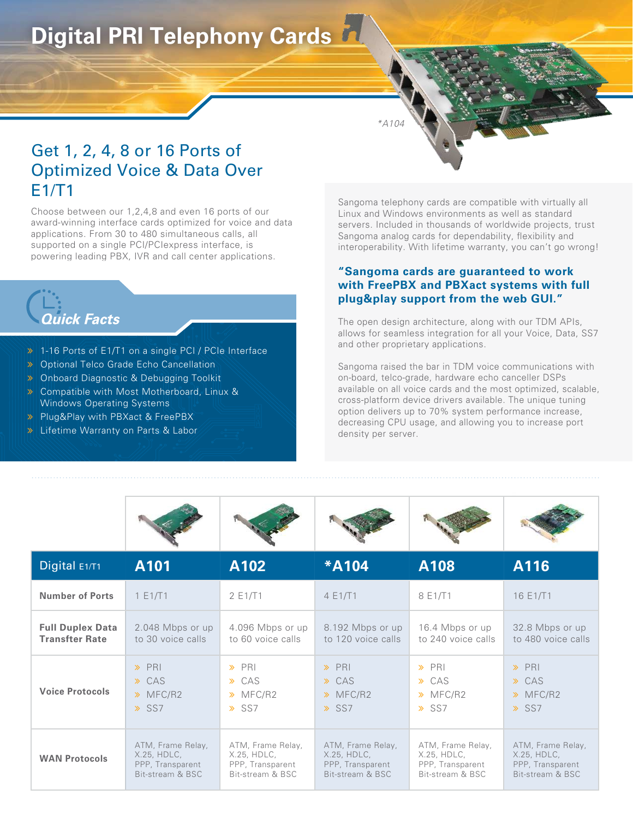## **Digital PRI Telephony Cards**

\*A104

## Get 1, 2, 4, 8 or 16 Ports of Optimized Voice & Data Over  $F1/T1$

Choose between our 1,2,4,8 and even 16 ports of our award-winning interface cards optimized for voice and data applications. From 30 to 480 simultaneous calls, all supported on a single PCI/PCIexpress interface, is powering leading PBX, IVR and call center applications.

# **Quick Facts**

- > 1-16 Ports of E1/T1 on a single PCI / PCIe Interface
- **>** Optional Telco Grade Echo Cancellation
- **>** Onboard Diagnostic & Debugging Toolkit
- **>** Compatible with Most Motherboard, Linux & Windows Operating Systems
- Plug&Play with PBXact & FreePBX
- worldwige. External Dract of Frochert

Sangoma telephony cards are compatible with virtually all Linux and Windows environments as well as standard servers. Included in thousands of worldwide projects, trust Sangoma analog cards for dependability, flexibility and interoperability. With lifetime warranty, you can't go wrong!

#### **"Sangoma cards are guaranteed to work with FreePBX and PBXact systems with full plug&play support from the web GUI."**

The open design architecture, along with our TDM APIs, allows for seamless integration for all your Voice, Data, SS7 and other proprietary applications.

Sangoma raised the bar in TDM voice communications with on-board, telco-grade, hardware echo canceller DSPs available on all voice cards and the most optimized, scalable, cross-platform device drivers available. The unique tuning option delivers up to 70% system performance increase, decreasing CPU usage, and allowing you to increase port density per server.



| Digital $E1/T1$         | A101              | A102              | <b>*A104</b>       | A108                 | A116                 |
|-------------------------|-------------------|-------------------|--------------------|----------------------|----------------------|
| <b>Number of Ports</b>  | 1 E1/T1           | 2E1/T1            | 4 E1/T1            | 8 E1/T1              | 16 E1/T1             |
| <b>Full Duplex Data</b> | 2.048 Mbps or up  | 4.096 Mbps or up  | 8.192 Mbps or up   | 16.4 Mbps or up      | 32.8 Mbps or up      |
| <b>Transfter Rate</b>   | to 30 voice calls | to 60 voice calls | to 120 voice calls | to 240 voice calls   | to 480 voice calls   |
| <b>Voice Protocols</b>  | $\rightarrow$ PRI | $\rightarrow$ PRI | $\rightarrow$ PRI  | $\rightarrow$ PRI    | $\rightarrow$ PRI    |
|                         | $\rightarrow$ CAS | $\rightarrow$ CAS | $\rightarrow$ CAS  | $\rightarrow$ CAS    | $\rightarrow$ CAS    |
|                         | $\gg$ MFC/R2      | $\gg$ MFC/R2      | $\gg$ MFC/R2       | $\rightarrow$ MFC/R2 | $\rightarrow$ MFC/R2 |
|                         | $\gg$ SS7         | $\gg$ SS7         | $\gg$ SS7          | $\gg$ SS7            | $\gg$ SS7            |
| <b>WAN Protocols</b>    | ATM, Frame Relay, | ATM, Frame Relay, | ATM, Frame Relay,  | ATM, Frame Relay,    | ATM, Frame Relay,    |
|                         | X.25, HDLC,       | X.25, HDLC,       | $X.25.$ HDLC,      | X.25, HDLC,          | X.25, HDLC,          |
|                         | PPP, Transparent  | PPP, Transparent  | PPP, Transparent   | PPP, Transparent     | PPP, Transparent     |
|                         | Bit-stream & BSC  | Bit-stream & BSC  | Bit-stream & BSC   | Bit-stream & BSC     | Bit-stream & BSC     |